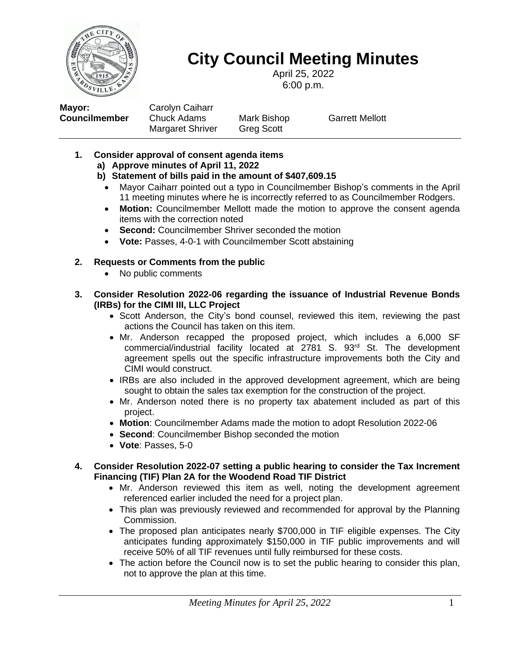

# **City Council Meeting Minutes**

April 25, 2022 6:00 p.m.

| Mayor:               | Carolyn Caiharr  |                   |                        |
|----------------------|------------------|-------------------|------------------------|
| <b>Councilmember</b> | Chuck Adams      | Mark Bishop       | <b>Garrett Mellott</b> |
|                      | Margaret Shriver | <b>Greg Scott</b> |                        |

## **1. Consider approval of consent agenda items**

#### **a) Approve minutes of April 11, 2022**

# **b) Statement of bills paid in the amount of \$407,609.15**

- Mayor Caiharr pointed out a typo in Councilmember Bishop's comments in the April 11 meeting minutes where he is incorrectly referred to as Councilmember Rodgers.
- **Motion:** Councilmember Mellott made the motion to approve the consent agenda items with the correction noted
- **Second:** Councilmember Shriver seconded the motion
- **Vote:** Passes, 4-0-1 with Councilmember Scott abstaining

## **2. Requests or Comments from the public**

- No public comments
- **3. Consider Resolution 2022-06 regarding the issuance of Industrial Revenue Bonds (IRBs) for the CIMI III, LLC Project**
	- Scott Anderson, the City's bond counsel, reviewed this item, reviewing the past actions the Council has taken on this item.
	- Mr. Anderson recapped the proposed project, which includes a 6,000 SF commercial/industrial facility located at  $2781$  S.  $93<sup>rd</sup>$  St. The development agreement spells out the specific infrastructure improvements both the City and CIMI would construct.
	- IRBs are also included in the approved development agreement, which are being sought to obtain the sales tax exemption for the construction of the project.
	- Mr. Anderson noted there is no property tax abatement included as part of this project.
	- **Motion**: Councilmember Adams made the motion to adopt Resolution 2022-06
	- **Second**: Councilmember Bishop seconded the motion
	- **Vote**: Passes, 5-0
- **4. Consider Resolution 2022-07 setting a public hearing to consider the Tax Increment Financing (TIF) Plan 2A for the Woodend Road TIF District**
	- Mr. Anderson reviewed this item as well, noting the development agreement referenced earlier included the need for a project plan.
	- This plan was previously reviewed and recommended for approval by the Planning Commission.
	- The proposed plan anticipates nearly \$700,000 in TIF eligible expenses. The City anticipates funding approximately \$150,000 in TIF public improvements and will receive 50% of all TIF revenues until fully reimbursed for these costs.
	- The action before the Council now is to set the public hearing to consider this plan, not to approve the plan at this time.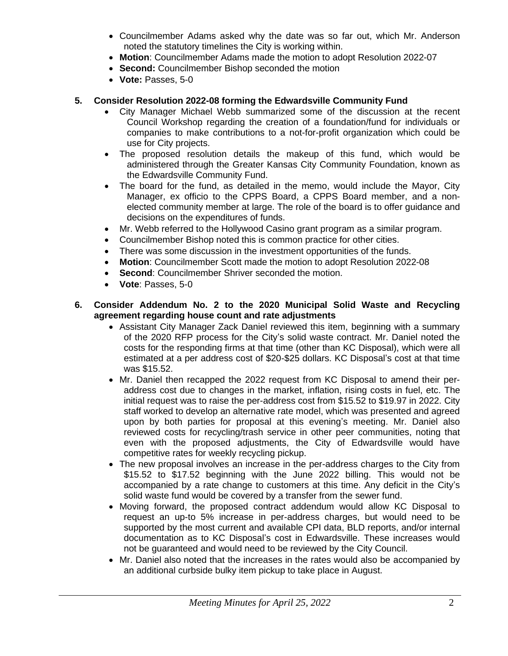- Councilmember Adams asked why the date was so far out, which Mr. Anderson noted the statutory timelines the City is working within.
- **Motion**: Councilmember Adams made the motion to adopt Resolution 2022-07
- **Second:** Councilmember Bishop seconded the motion
- **Vote:** Passes, 5-0

## **5. Consider Resolution 2022-08 forming the Edwardsville Community Fund**

- City Manager Michael Webb summarized some of the discussion at the recent Council Workshop regarding the creation of a foundation/fund for individuals or companies to make contributions to a not-for-profit organization which could be use for City projects.
- The proposed resolution details the makeup of this fund, which would be administered through the Greater Kansas City Community Foundation, known as the Edwardsville Community Fund.
- The board for the fund, as detailed in the memo, would include the Mayor, City Manager, ex officio to the CPPS Board, a CPPS Board member, and a nonelected community member at large. The role of the board is to offer guidance and decisions on the expenditures of funds.
- Mr. Webb referred to the Hollywood Casino grant program as a similar program.
- Councilmember Bishop noted this is common practice for other cities.
- There was some discussion in the investment opportunities of the funds.
- **Motion**: Councilmember Scott made the motion to adopt Resolution 2022-08
- **Second**: Councilmember Shriver seconded the motion.
- **Vote**: Passes, 5-0
- **6. Consider Addendum No. 2 to the 2020 Municipal Solid Waste and Recycling agreement regarding house count and rate adjustments**
	- Assistant City Manager Zack Daniel reviewed this item, beginning with a summary of the 2020 RFP process for the City's solid waste contract. Mr. Daniel noted the costs for the responding firms at that time (other than KC Disposal), which were all estimated at a per address cost of \$20-\$25 dollars. KC Disposal's cost at that time was \$15.52.
	- Mr. Daniel then recapped the 2022 request from KC Disposal to amend their peraddress cost due to changes in the market, inflation, rising costs in fuel, etc. The initial request was to raise the per-address cost from \$15.52 to \$19.97 in 2022. City staff worked to develop an alternative rate model, which was presented and agreed upon by both parties for proposal at this evening's meeting. Mr. Daniel also reviewed costs for recycling/trash service in other peer communities, noting that even with the proposed adjustments, the City of Edwardsville would have competitive rates for weekly recycling pickup.
	- The new proposal involves an increase in the per-address charges to the City from \$15.52 to \$17.52 beginning with the June 2022 billing. This would not be accompanied by a rate change to customers at this time. Any deficit in the City's solid waste fund would be covered by a transfer from the sewer fund.
	- Moving forward, the proposed contract addendum would allow KC Disposal to request an up-to 5% increase in per-address charges, but would need to be supported by the most current and available CPI data, BLD reports, and/or internal documentation as to KC Disposal's cost in Edwardsville. These increases would not be guaranteed and would need to be reviewed by the City Council.
	- Mr. Daniel also noted that the increases in the rates would also be accompanied by an additional curbside bulky item pickup to take place in August.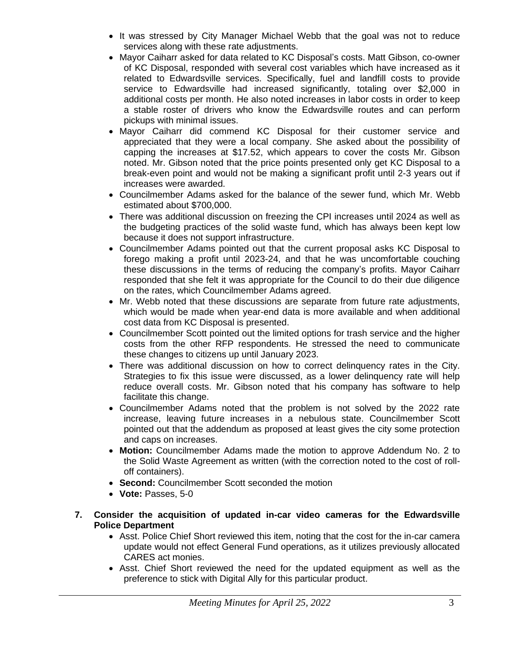- It was stressed by City Manager Michael Webb that the goal was not to reduce services along with these rate adjustments.
- Mayor Caiharr asked for data related to KC Disposal's costs. Matt Gibson, co-owner of KC Disposal, responded with several cost variables which have increased as it related to Edwardsville services. Specifically, fuel and landfill costs to provide service to Edwardsville had increased significantly, totaling over \$2,000 in additional costs per month. He also noted increases in labor costs in order to keep a stable roster of drivers who know the Edwardsville routes and can perform pickups with minimal issues.
- Mayor Caiharr did commend KC Disposal for their customer service and appreciated that they were a local company. She asked about the possibility of capping the increases at \$17.52, which appears to cover the costs Mr. Gibson noted. Mr. Gibson noted that the price points presented only get KC Disposal to a break-even point and would not be making a significant profit until 2-3 years out if increases were awarded.
- Councilmember Adams asked for the balance of the sewer fund, which Mr. Webb estimated about \$700,000.
- There was additional discussion on freezing the CPI increases until 2024 as well as the budgeting practices of the solid waste fund, which has always been kept low because it does not support infrastructure.
- Councilmember Adams pointed out that the current proposal asks KC Disposal to forego making a profit until 2023-24, and that he was uncomfortable couching these discussions in the terms of reducing the company's profits. Mayor Caiharr responded that she felt it was appropriate for the Council to do their due diligence on the rates, which Councilmember Adams agreed.
- Mr. Webb noted that these discussions are separate from future rate adjustments, which would be made when year-end data is more available and when additional cost data from KC Disposal is presented.
- Councilmember Scott pointed out the limited options for trash service and the higher costs from the other RFP respondents. He stressed the need to communicate these changes to citizens up until January 2023.
- There was additional discussion on how to correct delinquency rates in the City. Strategies to fix this issue were discussed, as a lower delinquency rate will help reduce overall costs. Mr. Gibson noted that his company has software to help facilitate this change.
- Councilmember Adams noted that the problem is not solved by the 2022 rate increase, leaving future increases in a nebulous state. Councilmember Scott pointed out that the addendum as proposed at least gives the city some protection and caps on increases.
- **Motion:** Councilmember Adams made the motion to approve Addendum No. 2 to the Solid Waste Agreement as written (with the correction noted to the cost of rolloff containers).
- **Second:** Councilmember Scott seconded the motion
- **Vote:** Passes, 5-0
- **7. Consider the acquisition of updated in-car video cameras for the Edwardsville Police Department**
	- Asst. Police Chief Short reviewed this item, noting that the cost for the in-car camera update would not effect General Fund operations, as it utilizes previously allocated CARES act monies.
	- Asst. Chief Short reviewed the need for the updated equipment as well as the preference to stick with Digital Ally for this particular product.